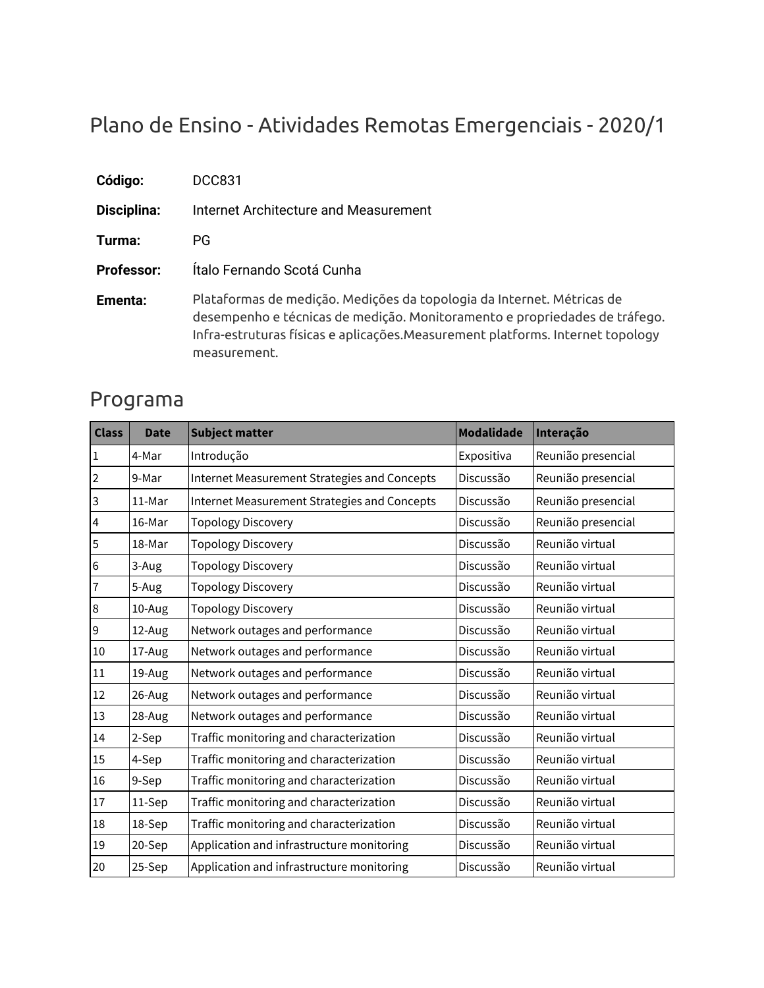# Plano de Ensino - Atividades Remotas Emergenciais - 2020/1

| Código:           | DCC831                                                                                                                                                                                                                                                 |
|-------------------|--------------------------------------------------------------------------------------------------------------------------------------------------------------------------------------------------------------------------------------------------------|
| Disciplina:       | Internet Architecture and Measurement                                                                                                                                                                                                                  |
| Turma:            | PG.                                                                                                                                                                                                                                                    |
| <b>Professor:</b> | Ítalo Fernando Scotá Cunha                                                                                                                                                                                                                             |
| Ementa:           | Plataformas de medição. Medições da topologia da Internet. Métricas de<br>desempenho e técnicas de medição. Monitoramento e propriedades de tráfego.<br>Infra-estruturas físicas e aplicações.Measurement platforms. Internet topology<br>measurement. |

### Programa

| <b>Class</b>   | <b>Date</b> | <b>Subject matter</b>                        | <b>Modalidade</b> | Interação          |
|----------------|-------------|----------------------------------------------|-------------------|--------------------|
| $\mathbf{1}$   | 4-Mar       | Introdução                                   | Expositiva        | Reunião presencial |
| $\mathbf 2$    | 9-Mar       | Internet Measurement Strategies and Concepts | Discussão         | Reunião presencial |
| $\overline{3}$ | 11-Mar      | Internet Measurement Strategies and Concepts | Discussão         | Reunião presencial |
| $\overline{4}$ | 16-Mar      | <b>Topology Discovery</b>                    | Discussão         | Reunião presencial |
| $\overline{5}$ | 18-Mar      | <b>Topology Discovery</b>                    | Discussão         | Reunião virtual    |
| $\,6$          | 3-Aug       | <b>Topology Discovery</b>                    | Discussão         | Reunião virtual    |
| 7              | 5-Aug       | <b>Topology Discovery</b>                    | Discussão         | Reunião virtual    |
| $\,8\,$        | 10-Aug      | <b>Topology Discovery</b>                    | Discussão         | Reunião virtual    |
| 9              | 12-Aug      | Network outages and performance              | Discussão         | Reunião virtual    |
| 10             | 17-Aug      | Network outages and performance              | Discussão         | Reunião virtual    |
| 11             | 19-Aug      | Network outages and performance              | Discussão         | Reunião virtual    |
| 12             | 26-Aug      | Network outages and performance              | Discussão         | Reunião virtual    |
| 13             | 28-Aug      | Network outages and performance              | Discussão         | Reunião virtual    |
| 14             | 2-Sep       | Traffic monitoring and characterization      | Discussão         | Reunião virtual    |
| 15             | 4-Sep       | Traffic monitoring and characterization      | Discussão         | Reunião virtual    |
| 16             | 9-Sep       | Traffic monitoring and characterization      | Discussão         | Reunião virtual    |
| 17             | 11-Sep      | Traffic monitoring and characterization      | Discussão         | Reunião virtual    |
| 18             | 18-Sep      | Traffic monitoring and characterization      | Discussão         | Reunião virtual    |
| 19             | 20-Sep      | Application and infrastructure monitoring    | Discussão         | Reunião virtual    |
| 20             | 25-Sep      | Application and infrastructure monitoring    | Discussão         | Reunião virtual    |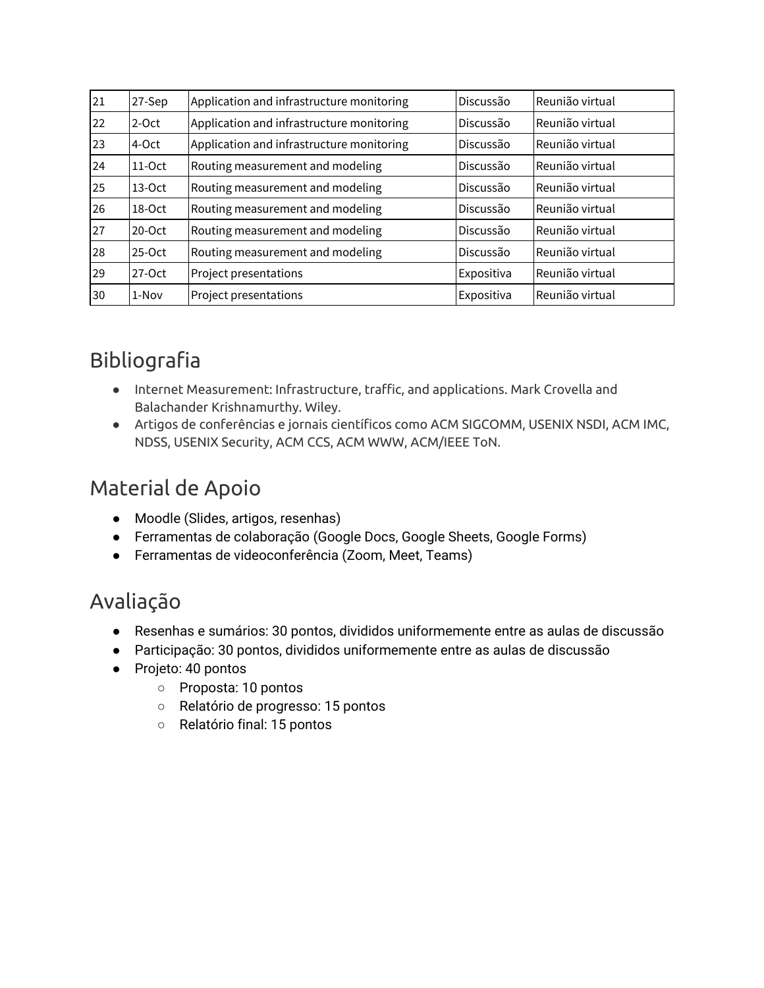| 21 | 27-Sep   | Application and infrastructure monitoring | Discussão  | Reunião virtual |
|----|----------|-------------------------------------------|------------|-----------------|
| 22 | $2$ -Oct | Application and infrastructure monitoring | Discussão  | Reunião virtual |
| 23 | 4-Oct    | Application and infrastructure monitoring | Discussão  | Reunião virtual |
| 24 | $11-Oct$ | Routing measurement and modeling          | Discussão  | Reunião virtual |
| 25 | $13-Oct$ | Routing measurement and modeling          | Discussão  | Reunião virtual |
| 26 | 18-Oct   | Routing measurement and modeling          | Discussão  | Reunião virtual |
| 27 | $20-Oct$ | Routing measurement and modeling          | Discussão  | Reunião virtual |
| 28 | $25-Oct$ | Routing measurement and modeling          | Discussão  | Reunião virtual |
| 29 | 27-Oct   | Project presentations                     | Expositiva | Reunião virtual |
| 30 | 1-Nov    | Project presentations                     | Expositiva | Reunião virtual |

## Bibliografia

- Internet Measurement: Infrastructure, traffic, and applications. Mark Crovella and Balachander Krishnamurthy. Wiley.
- Artigos de conferências e jornais científicos como ACM SIGCOMM, USENIX NSDI, ACM IMC, NDSS, USENIX Security, ACM CCS, ACM WWW, ACM/IEEE ToN.

### Material de Apoio

- Moodle (Slides, artigos, resenhas)
- Ferramentas de colaboração (Google Docs, Google Sheets, Google Forms)
- Ferramentas de videoconferência (Zoom, Meet, Teams)

### Avaliação

- Resenhas e sumários: 30 pontos, divididos uniformemente entre as aulas de discussão
- Participação: 30 pontos, divididos uniformemente entre as aulas de discussão
- Projeto: 40 pontos
	- Proposta: 10 pontos
	- Relatório de progresso: 15 pontos
	- Relatório final: 15 pontos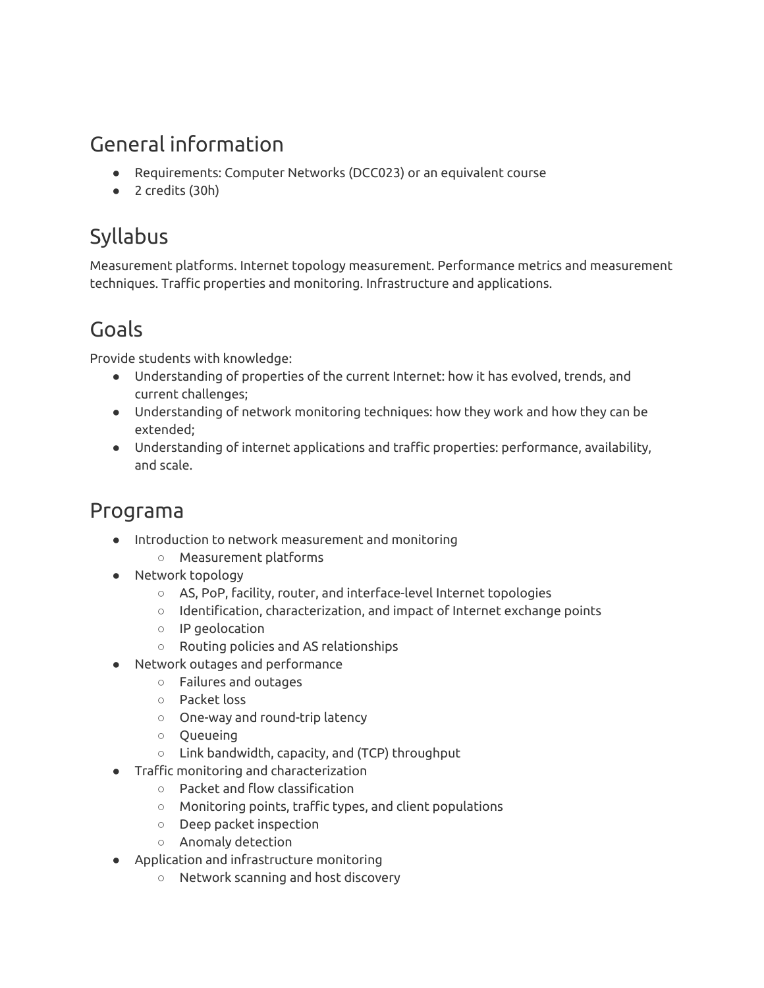### General information

- Requirements: Computer Networks (DCC023) or an equivalent course
- 2 credits (30h)

### Syllabus

Measurement platforms. Internet topology measurement. Performance metrics and measurement techniques. Traffic properties and monitoring. Infrastructure and applications.

### Goals

Provide students with knowledge:

- Understanding of properties of the current Internet: how it has evolved, trends, and current challenges;
- Understanding of network monitoring techniques: how they work and how they can be extended;
- Understanding of internet applications and traffic properties: performance, availability, and scale.

### Programa

- Introduction to network measurement and monitoring
	- Measurement platforms
- Network topology
	- AS, PoP, facility, router, and interface-level Internet topologies
	- Identification, characterization, and impact of Internet exchange points
	- IP geolocation
	- Routing policies and AS relationships
- Network outages and performance
	- Failures and outages
	- Packet loss
	- One-way and round-trip latency
	- Queueing
	- Link bandwidth, capacity, and (TCP) throughput
- Traffic monitoring and characterization
	- Packet and flow classification
	- Monitoring points, traffic types, and client populations
	- Deep packet inspection
	- Anomaly detection
- Application and infrastructure monitoring
	- Network scanning and host discovery